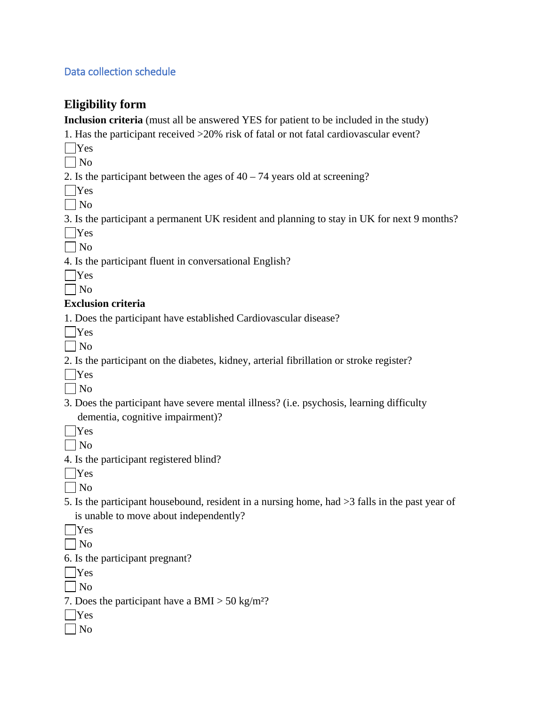#### Data collection schedule

### **Eligibility form**

**Inclusion criteria** (must all be answered YES for patient to be included in the study)

1. Has the participant received >20% risk of fatal or not fatal cardiovascular event?

- $\Box$ Yes
- $\Box$  No

2. Is the participant between the ages of  $40 - 74$  years old at screening?

Yes

 $\Box$  No

3. Is the participant a permanent UK resident and planning to stay in UK for next 9 months?

 $\Box$ Yes

 $\Box$  No

4. Is the participant fluent in conversational English?

# $\vert$  | No

### **Exclusion criteria**

1. Does the participant have established Cardiovascular disease?

- Yes
- $\Box$  No
- 2. Is the participant on the diabetes, kidney, arterial fibrillation or stroke register?
- Yes

 $\Box$  No

- 3. Does the participant have severe mental illness? (i.e. psychosis, learning difficulty dementia, cognitive impairment)?
- $\Box$ Yes
- $\Box$  No
- 4. Is the participant registered blind?
- Yes

 $\Box$  No

- 5. Is the participant housebound, resident in a nursing home, had >3 falls in the past year of is unable to move about independently?
- $\Box$ Yes
- $\Box$  No
- 6. Is the participant pregnant?
- | Yes

 $\Box$  No

- 7. Does the participant have a BMI  $>$  50 kg/m<sup>2</sup>?
- Yes
- $\Box$  No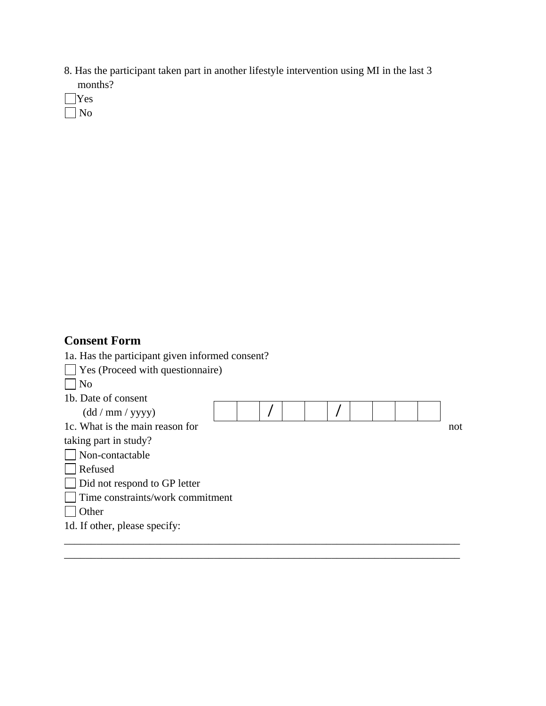- 8. Has the participant taken part in another lifestyle intervention using MI in the last 3 months?
- Yes No

## **Consent Form**

- 1a. Has the participant given informed consent?
- Yes (Proceed with questionnaire)

 $\Box$  No

| 1b. Date of consent                 |  |  |  |  |  |     |
|-------------------------------------|--|--|--|--|--|-----|
| (dd/mm/yyyy)                        |  |  |  |  |  |     |
| 1c. What is the main reason for     |  |  |  |  |  | not |
| taking part in study?               |  |  |  |  |  |     |
| Non-contactable                     |  |  |  |  |  |     |
| Refused                             |  |  |  |  |  |     |
| $\Box$ Did not respond to GP letter |  |  |  |  |  |     |
| Time constraints/work commitment    |  |  |  |  |  |     |
| Other                               |  |  |  |  |  |     |
| 1d. If other, please specify:       |  |  |  |  |  |     |
|                                     |  |  |  |  |  |     |

\_\_\_\_\_\_\_\_\_\_\_\_\_\_\_\_\_\_\_\_\_\_\_\_\_\_\_\_\_\_\_\_\_\_\_\_\_\_\_\_\_\_\_\_\_\_\_\_\_\_\_\_\_\_\_\_\_\_\_\_\_\_\_\_\_\_\_\_\_\_\_\_\_\_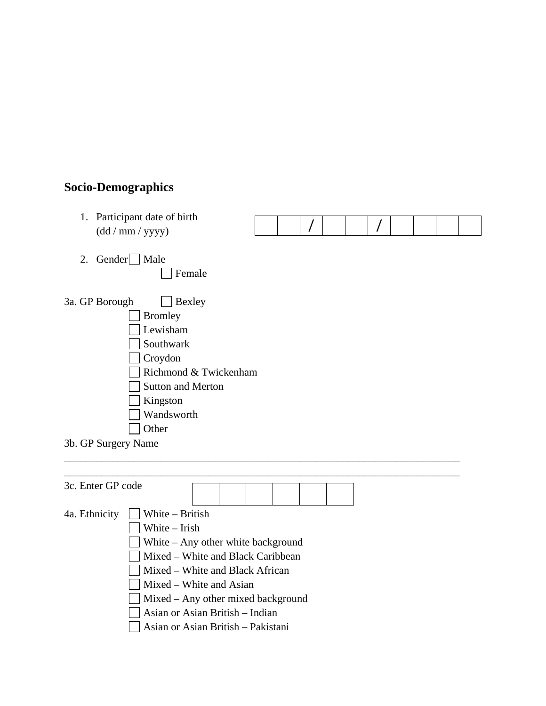## **Socio-Demographics**

1. Participant date of birth (dd / mm / yyyy)



- 2. Gender $\Box$  Male □ Female
- 3a. GP Borough  $\Box$  Bexley Bromley **Lewisham** Southwark Croydon Richmond & Twickenham Sutton and Merton Kingston Wandsworth □ Other
- 3b. GP Surgery Name

| 3c. Enter GP code |                                  |                                                                                                                                                                                                                                                        |  |  |  |
|-------------------|----------------------------------|--------------------------------------------------------------------------------------------------------------------------------------------------------------------------------------------------------------------------------------------------------|--|--|--|
| 4a. Ethnicity     | White – British<br>White – Irish | White $-$ Any other white background<br>Mixed – White and Black Caribbean<br>Mixed – White and Black African<br>Mixed – White and Asian<br>Mixed – Any other mixed background<br>Asian or Asian British – Indian<br>Asian or Asian British – Pakistani |  |  |  |

\_\_\_\_\_\_\_\_\_\_\_\_\_\_\_\_\_\_\_\_\_\_\_\_\_\_\_\_\_\_\_\_\_\_\_\_\_\_\_\_\_\_\_\_\_\_\_\_\_\_\_\_\_\_\_\_\_\_\_\_\_\_\_\_\_\_\_\_\_\_\_\_\_\_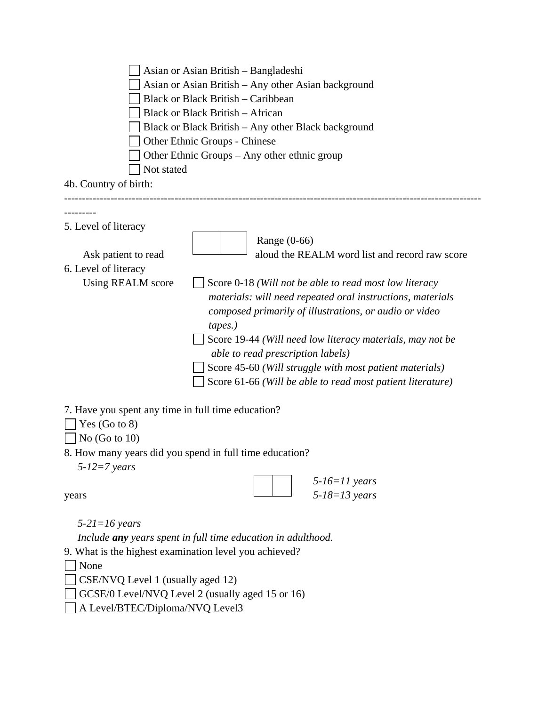| Asian or Asian British – Bangladeshi<br>Asian or Asian British – Any other Asian background<br><b>Black or Black British – Caribbean</b><br><b>Black or Black British - African</b><br>Black or Black British – Any other Black background<br>Other Ethnic Groups - Chinese<br>Other Ethnic Groups – Any other ethnic group<br>Not stated<br>4b. Country of birth:                                                                                                |  |  |  |  |  |  |  |  |  |
|-------------------------------------------------------------------------------------------------------------------------------------------------------------------------------------------------------------------------------------------------------------------------------------------------------------------------------------------------------------------------------------------------------------------------------------------------------------------|--|--|--|--|--|--|--|--|--|
|                                                                                                                                                                                                                                                                                                                                                                                                                                                                   |  |  |  |  |  |  |  |  |  |
| --------<br>5. Level of literacy<br>Range (0-66)                                                                                                                                                                                                                                                                                                                                                                                                                  |  |  |  |  |  |  |  |  |  |
| aloud the REALM word list and record raw score<br>Ask patient to read                                                                                                                                                                                                                                                                                                                                                                                             |  |  |  |  |  |  |  |  |  |
| 6. Level of literacy<br>Using REALM score<br>Score 0-18 (Will not be able to read most low literacy<br>materials: will need repeated oral instructions, materials<br>composed primarily of illustrations, or audio or video<br>tapes.)<br>Score 19-44 (Will need low literacy materials, may not be<br>able to read prescription labels)<br>Score 45-60 (Will struggle with most patient materials)<br>Score 61-66 (Will be able to read most patient literature) |  |  |  |  |  |  |  |  |  |
| 7. Have you spent any time in full time education?<br>Yes $(Go to 8)$<br>No $(Go to 10)$<br>8. How many years did you spend in full time education?                                                                                                                                                                                                                                                                                                               |  |  |  |  |  |  |  |  |  |
| $5-12=7$ years                                                                                                                                                                                                                                                                                                                                                                                                                                                    |  |  |  |  |  |  |  |  |  |
| $5-16=11$ years<br>$5 - 18 = 13$ years<br>years                                                                                                                                                                                                                                                                                                                                                                                                                   |  |  |  |  |  |  |  |  |  |
| $5-21=16$ years                                                                                                                                                                                                                                                                                                                                                                                                                                                   |  |  |  |  |  |  |  |  |  |
| Include any years spent in full time education in adulthood.                                                                                                                                                                                                                                                                                                                                                                                                      |  |  |  |  |  |  |  |  |  |
| 9. What is the highest examination level you achieved?                                                                                                                                                                                                                                                                                                                                                                                                            |  |  |  |  |  |  |  |  |  |
| None<br>CSE/NVQ Level 1 (usually aged 12)                                                                                                                                                                                                                                                                                                                                                                                                                         |  |  |  |  |  |  |  |  |  |
| GCSE/0 Level/NVQ Level 2 (usually aged 15 or 16)                                                                                                                                                                                                                                                                                                                                                                                                                  |  |  |  |  |  |  |  |  |  |
| A Level/BTEC/Diploma/NVQ Level3                                                                                                                                                                                                                                                                                                                                                                                                                                   |  |  |  |  |  |  |  |  |  |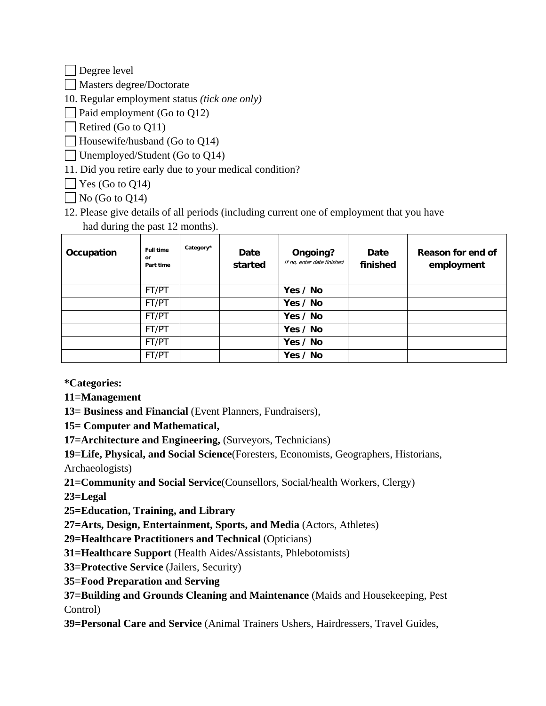Degree level

Masters degree/Doctorate

10. Regular employment status *(tick one only)*

 $\Box$  Paid employment (Go to Q12)

Retired (Go to Q11)

 $\Box$  Housewife/husband (Go to Q14)

Unemployed/Student (Go to Q14)

11. Did you retire early due to your medical condition?

 $\Box$  Yes (Go to Q14)

 $\Box$  No (Go to Q14)

12. Please give details of all periods (including current one of employment that you have had during the past 12 months).

| Occupation | <b>Full time</b><br>or<br>Part time | Category* | Date<br>started | Ongoing?<br>If no, enter date finished | Date<br>finished | Reason for end of<br>employment |
|------------|-------------------------------------|-----------|-----------------|----------------------------------------|------------------|---------------------------------|
|            | FT/PT                               |           |                 | Yes / No                               |                  |                                 |
|            | FT/PT                               |           |                 | Yes / No                               |                  |                                 |
|            | FT/PT                               |           |                 | Yes / No                               |                  |                                 |
|            | FT/PT                               |           |                 | Yes / No                               |                  |                                 |
|            | FT/PT                               |           |                 | Yes / No                               |                  |                                 |
|            | FT/PT                               |           |                 | Yes / No                               |                  |                                 |

**\*Categories:** 

**11=Management** 

**13= Business and Financial** (Event Planners, Fundraisers),

**15= Computer and Mathematical,** 

**17=Architecture and Engineering,** (Surveyors, Technicians)

**19=Life, Physical, and Social Science**(Foresters, Economists, Geographers, Historians, Archaeologists)

**21=Community and Social Service**(Counsellors, Social/health Workers, Clergy)

**23=Legal** 

**25=Education, Training, and Library**

**27=Arts, Design, Entertainment, Sports, and Media** (Actors, Athletes)

**29=Healthcare Practitioners and Technical** (Opticians)

**31=Healthcare Support** (Health Aides/Assistants, Phlebotomists)

**33=Protective Service** (Jailers, Security)

**35=Food Preparation and Serving**

**37=Building and Grounds Cleaning and Maintenance** (Maids and Housekeeping, Pest Control)

**39=Personal Care and Service** (Animal Trainers Ushers, Hairdressers, Travel Guides,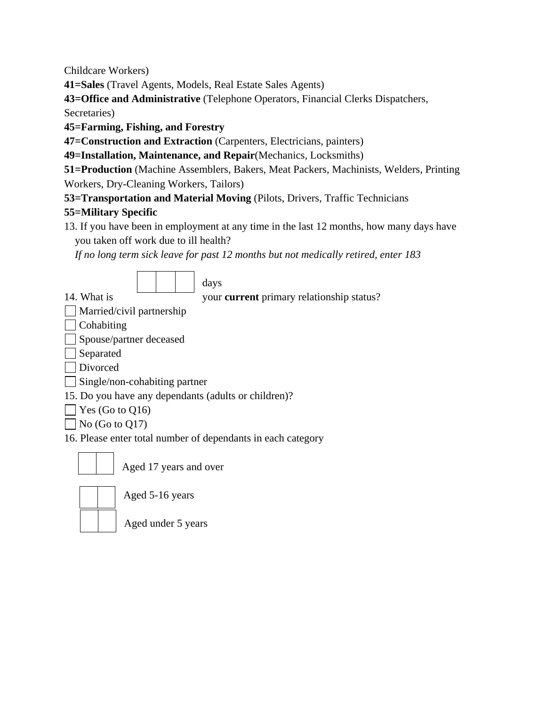Childcare Workers)

**41=Sales** (Travel Agents, Models, Real Estate Sales Agents)

**43=Office and Administrative** (Telephone Operators, Financial Clerks Dispatchers,

Secretaries)

**45=Farming, Fishing, and Forestry**

**47=Construction and Extraction** (Carpenters, Electricians, painters)

**49=Installation, Maintenance, and Repair**(Mechanics, Locksmiths)

**51=Production** (Machine Assemblers, Bakers, Meat Packers, Machinists, Welders, Printing Workers, Dry-Cleaning Workers, Tailors)

**53=Transportation and Material Moving** (Pilots, Drivers, Traffic Technicians

### **55=Military Specific**

13. If you have been in employment at any time in the last 12 months, how many days have you taken off work due to ill health?

*If no long term sick leave for past 12 months but not medically retired, enter 183*



### days

14. What is your **current** primary relationship status?

| Married/civil partnership |  |
|---------------------------|--|
|                           |  |

- | Cohabiting
- Spouse/partner deceased
- Separated
- Divorced
- Single/non-cohabiting partner
- 15. Do you have any dependants (adults or children)?
- $\Box$  Yes (Go to Q16)
- $\Box$  No (Go to Q17)

16. Please enter total number of dependants in each category



Aged 17 years and over

Aged 5-16 years

| | | Aged under 5 years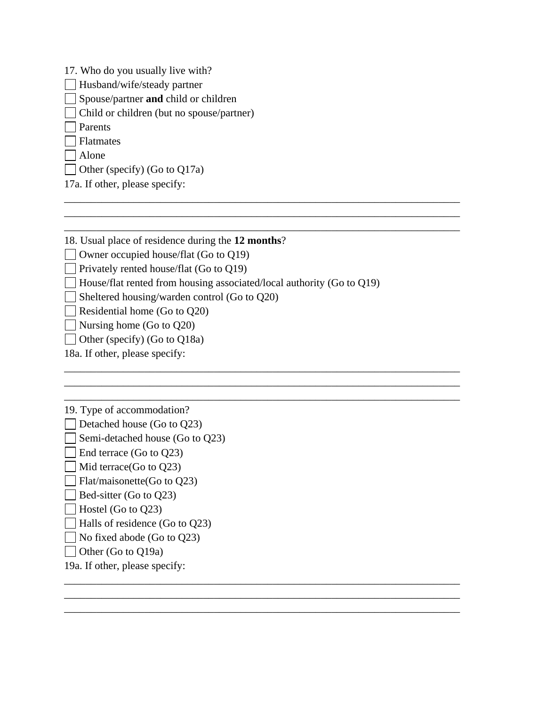- 17. Who do you usually live with?
- Husband/wife/steady partner
- Spouse/partner **and** child or children
- Child or children (but no spouse/partner)
- Parents
- Flatmates
- Alone
- Other (specify) (Go to Q17a)
- 17a. If other, please specify:
- 18. Usual place of residence during the **12 months**?
- Owner occupied house/flat (Go to Q19)
- Privately rented house/flat (Go to  $Q19$ )
- $\Box$  House/flat rented from housing associated/local authority (Go to Q19)

\_\_\_\_\_\_\_\_\_\_\_\_\_\_\_\_\_\_\_\_\_\_\_\_\_\_\_\_\_\_\_\_\_\_\_\_\_\_\_\_\_\_\_\_\_\_\_\_\_\_\_\_\_\_\_\_\_\_\_\_\_\_\_\_\_\_\_\_\_\_\_\_\_\_ \_\_\_\_\_\_\_\_\_\_\_\_\_\_\_\_\_\_\_\_\_\_\_\_\_\_\_\_\_\_\_\_\_\_\_\_\_\_\_\_\_\_\_\_\_\_\_\_\_\_\_\_\_\_\_\_\_\_\_\_\_\_\_\_\_\_\_\_\_\_\_\_\_\_ \_\_\_\_\_\_\_\_\_\_\_\_\_\_\_\_\_\_\_\_\_\_\_\_\_\_\_\_\_\_\_\_\_\_\_\_\_\_\_\_\_\_\_\_\_\_\_\_\_\_\_\_\_\_\_\_\_\_\_\_\_\_\_\_\_\_\_\_\_\_\_\_\_\_

\_\_\_\_\_\_\_\_\_\_\_\_\_\_\_\_\_\_\_\_\_\_\_\_\_\_\_\_\_\_\_\_\_\_\_\_\_\_\_\_\_\_\_\_\_\_\_\_\_\_\_\_\_\_\_\_\_\_\_\_\_\_\_\_\_\_\_\_\_\_\_\_\_\_ \_\_\_\_\_\_\_\_\_\_\_\_\_\_\_\_\_\_\_\_\_\_\_\_\_\_\_\_\_\_\_\_\_\_\_\_\_\_\_\_\_\_\_\_\_\_\_\_\_\_\_\_\_\_\_\_\_\_\_\_\_\_\_\_\_\_\_\_\_\_\_\_\_\_ \_\_\_\_\_\_\_\_\_\_\_\_\_\_\_\_\_\_\_\_\_\_\_\_\_\_\_\_\_\_\_\_\_\_\_\_\_\_\_\_\_\_\_\_\_\_\_\_\_\_\_\_\_\_\_\_\_\_\_\_\_\_\_\_\_\_\_\_\_\_\_\_\_\_

\_\_\_\_\_\_\_\_\_\_\_\_\_\_\_\_\_\_\_\_\_\_\_\_\_\_\_\_\_\_\_\_\_\_\_\_\_\_\_\_\_\_\_\_\_\_\_\_\_\_\_\_\_\_\_\_\_\_\_\_\_\_\_\_\_\_\_\_\_\_\_\_\_\_ \_\_\_\_\_\_\_\_\_\_\_\_\_\_\_\_\_\_\_\_\_\_\_\_\_\_\_\_\_\_\_\_\_\_\_\_\_\_\_\_\_\_\_\_\_\_\_\_\_\_\_\_\_\_\_\_\_\_\_\_\_\_\_\_\_\_\_\_\_\_\_\_\_\_ \_\_\_\_\_\_\_\_\_\_\_\_\_\_\_\_\_\_\_\_\_\_\_\_\_\_\_\_\_\_\_\_\_\_\_\_\_\_\_\_\_\_\_\_\_\_\_\_\_\_\_\_\_\_\_\_\_\_\_\_\_\_\_\_\_\_\_\_\_\_\_\_\_\_

- Sheltered housing/warden control (Go to Q20)
- Residential home (Go to  $Q20$ )
- Nursing home (Go to  $Q20$ )
- $\Box$  Other (specify) (Go to Q18a)
- 18a. If other, please specify:
- 19. Type of accommodation?
- Detached house (Go to  $Q23$ )
- $\Box$  Semi-detached house (Go to Q23)
- $\Box$  End terrace (Go to Q23)
- $\Box$  Mid terrace(Go to O23)
- $\Box$  Flat/maisonette(Go to Q23)
- $\Box$  Bed-sitter (Go to Q23)
- $\Box$  Hostel (Go to Q23)
- Halls of residence (Go to Q23)
- $\Box$  No fixed abode (Go to Q23)
- Other (Go to Q19a)
- 19a. If other, please specify: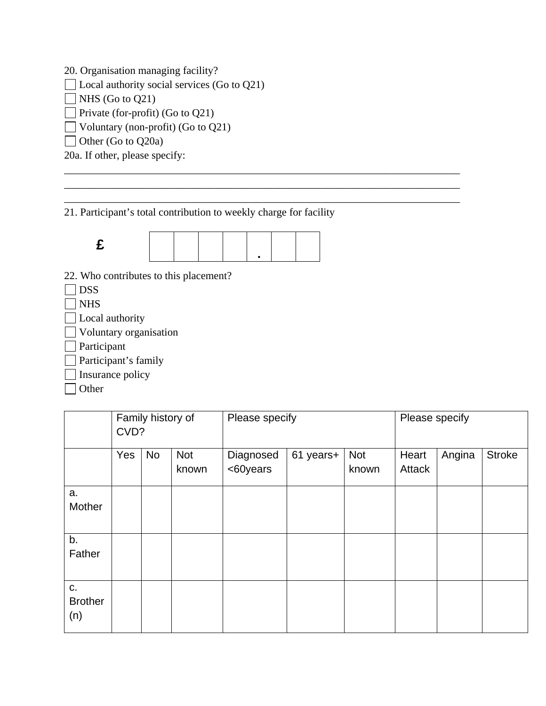20. Organisation managing facility?

 $\Box$  Local authority social services (Go to Q21)

 $\Box$  NHS (Go to Q21)

Private (for-profit) (Go to  $Q21$ )

 $\Box$  Voluntary (non-profit) (Go to Q21)

Other (Go to Q20a)

20a. If other, please specify:

21. Participant's total contribution to weekly charge for facility

\_\_\_\_\_\_\_\_\_\_\_\_\_\_\_\_\_\_\_\_\_\_\_\_\_\_\_\_\_\_\_\_\_\_\_\_\_\_\_\_\_\_\_\_\_\_\_\_\_\_\_\_\_\_\_\_\_\_\_\_\_\_\_\_\_\_\_\_\_\_\_\_\_\_ \_\_\_\_\_\_\_\_\_\_\_\_\_\_\_\_\_\_\_\_\_\_\_\_\_\_\_\_\_\_\_\_\_\_\_\_\_\_\_\_\_\_\_\_\_\_\_\_\_\_\_\_\_\_\_\_\_\_\_\_\_\_\_\_\_\_\_\_\_\_\_\_\_\_ \_\_\_\_\_\_\_\_\_\_\_\_\_\_\_\_\_\_\_\_\_\_\_\_\_\_\_\_\_\_\_\_\_\_\_\_\_\_\_\_\_\_\_\_\_\_\_\_\_\_\_\_\_\_\_\_\_\_\_\_\_\_\_\_\_\_\_\_\_\_\_\_\_\_



22. Who contributes to this placement?

 $\Box$  DSS

 $\neg$  NHS

- **Local** authority
- **Voluntary organisation**
- **Participant**

Participant's family

Insurance policy

□ Other

|                             | CVD? | Family history of |                     | Please specify        | Please specify |              |                 |        |               |
|-----------------------------|------|-------------------|---------------------|-----------------------|----------------|--------------|-----------------|--------|---------------|
|                             | Yes  | <b>No</b>         | <b>Not</b><br>known | Diagnosed<br><60years | 61 years+      | Not<br>known | Heart<br>Attack | Angina | <b>Stroke</b> |
| a.<br>Mother                |      |                   |                     |                       |                |              |                 |        |               |
| b.<br>Father                |      |                   |                     |                       |                |              |                 |        |               |
| C.<br><b>Brother</b><br>(n) |      |                   |                     |                       |                |              |                 |        |               |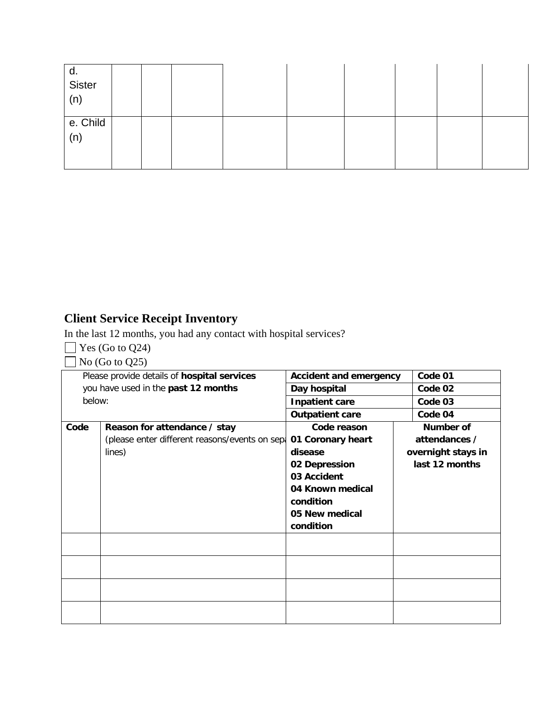| d.<br>Sister<br>(n) |  |  |  |  |  |
|---------------------|--|--|--|--|--|
| e. Child<br>(n)     |  |  |  |  |  |

# **Client Service Receipt Inventory**

In the last 12 months, you had any contact with hospital services?

- $\Box$  Yes (Go to Q24)
- $\Box$  No (Go to Q25)

|        | Please provide details of hospital services    | <b>Accident and emergency</b> |  | Code 01            |  |
|--------|------------------------------------------------|-------------------------------|--|--------------------|--|
|        | you have used in the past 12 months            | Day hospital                  |  | Code 02            |  |
| below: |                                                | <b>Inpatient care</b>         |  | Code 03            |  |
|        |                                                | <b>Outpatient care</b>        |  | Code 04            |  |
| Code   | Reason for attendance / stay                   | Code reason                   |  | Number of          |  |
|        | (please enter different reasons/events on sepa | 01 Coronary heart             |  | attendances /      |  |
|        | lines)                                         | disease                       |  | overnight stays in |  |
|        |                                                | 02 Depression                 |  | last 12 months     |  |
|        |                                                | 03 Accident                   |  |                    |  |
|        |                                                | 04 Known medical              |  |                    |  |
|        |                                                | condition                     |  |                    |  |
|        |                                                | 05 New medical                |  |                    |  |
|        |                                                | condition                     |  |                    |  |
|        |                                                |                               |  |                    |  |
|        |                                                |                               |  |                    |  |
|        |                                                |                               |  |                    |  |
|        |                                                |                               |  |                    |  |
|        |                                                |                               |  |                    |  |
|        |                                                |                               |  |                    |  |
|        |                                                |                               |  |                    |  |
|        |                                                |                               |  |                    |  |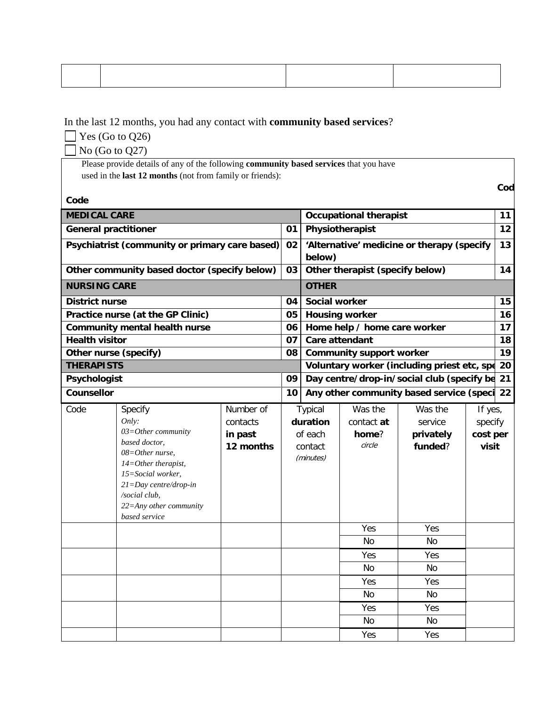In the last 12 months, you had any contact with **community based services**?

 $\Box$  Yes (Go to Q26)

No (Go to Q27)

 Please provide details of any of the following **community based services** that you have used in the **last 12 months** (not from family or friends):

**Code**

| <b>MEDICAL CARE</b>         |                                                |           |        |                                            | <b>Occupational therapist</b>   |                                               |          | 11 |
|-----------------------------|------------------------------------------------|-----------|--------|--------------------------------------------|---------------------------------|-----------------------------------------------|----------|----|
| <b>General practitioner</b> |                                                |           | 01     |                                            | Physiotherapist                 |                                               |          | 12 |
|                             | Psychiatrist (community or primary care based) |           | 02     | 'Alternative' medicine or therapy (specify |                                 |                                               |          |    |
|                             |                                                |           | below) |                                            |                                 |                                               |          |    |
|                             | Other community based doctor (specify below)   |           | 03     |                                            | Other therapist (specify below) |                                               |          | 14 |
| <b>NURSING CARE</b>         |                                                |           |        | <b>OTHER</b>                               |                                 |                                               |          |    |
| <b>District nurse</b>       |                                                |           | 04     | Social worker                              |                                 |                                               |          | 15 |
|                             | Practice nurse (at the GP Clinic)              |           | 05     |                                            | <b>Housing worker</b>           |                                               |          | 16 |
|                             | <b>Community mental health nurse</b>           |           | 06     |                                            | Home help / home care worker    |                                               |          | 17 |
| <b>Health visitor</b>       |                                                |           | 07     |                                            | Care attendant                  |                                               |          | 18 |
| Other nurse (specify)       |                                                |           | 08     |                                            | <b>Community support worker</b> |                                               |          | 19 |
| <b>THERAPISTS</b>           |                                                |           |        |                                            |                                 | Voluntary worker (including priest etc, spe   |          | 20 |
| Psychologist                |                                                |           | 09     |                                            |                                 | Day centre/drop-in/social club (specify be 21 |          |    |
| <b>Counsellor</b>           |                                                |           | 10     |                                            |                                 | Any other community based service (speci      |          | 22 |
| Code                        | Specify                                        | Number of |        | Typical                                    | Was the                         | Was the                                       | If yes,  |    |
|                             | Only:                                          | contacts  |        | duration                                   | contact at                      | service                                       | specify  |    |
|                             | $03 = Other community$                         | in past   |        | of each                                    | home?                           | privately                                     | cost per |    |
|                             | based doctor,<br>$08 = Other$ nurse,           | 12 months |        | contact                                    | circle                          | funded?                                       | visit    |    |
|                             | $14 = Other$ therapist,                        |           |        | (minutes)                                  |                                 |                                               |          |    |
|                             | 15=Social worker,                              |           |        |                                            |                                 |                                               |          |    |
|                             | $21 = Day$ centre/drop-in                      |           |        |                                            |                                 |                                               |          |    |
|                             | /social club,                                  |           |        |                                            |                                 |                                               |          |    |
|                             | $22 =$ Any other community                     |           |        |                                            |                                 |                                               |          |    |
|                             | based service                                  |           |        |                                            |                                 |                                               |          |    |
|                             |                                                |           |        |                                            | Yes                             | Yes                                           |          |    |
|                             |                                                |           |        |                                            | <b>No</b>                       | <b>No</b>                                     |          |    |
|                             |                                                |           |        |                                            | Yes                             | Yes                                           |          |    |
|                             |                                                |           |        |                                            | No                              | No                                            |          |    |
|                             |                                                |           |        |                                            | Yes                             | Yes                                           |          |    |
|                             |                                                |           |        |                                            | No.                             | N <sub>0</sub>                                |          |    |
|                             |                                                |           |        |                                            | Yes                             | Yes                                           |          |    |
|                             |                                                |           |        |                                            | No                              | No                                            |          |    |
|                             |                                                |           |        |                                            | Yes                             | Yes                                           |          |    |

 **Code の Code の Code の Code の Code の Code の Code の Code の Code の Code の Code の Code**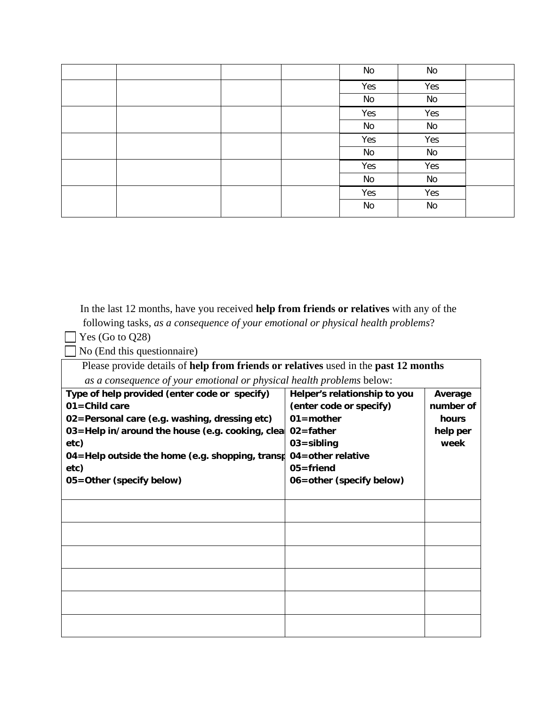|  |  | No  | No  |  |
|--|--|-----|-----|--|
|  |  | Yes | Yes |  |
|  |  | No  | No  |  |
|  |  | Yes | Yes |  |
|  |  | No  | No  |  |
|  |  | Yes | Yes |  |
|  |  | No  | No  |  |
|  |  | Yes | Yes |  |
|  |  | No  | No  |  |
|  |  | Yes | Yes |  |
|  |  | No  | No  |  |
|  |  |     |     |  |

 In the last 12 months, have you received **help from friends or relatives** with any of the following tasks, *as a consequence of your emotional or physical health problems*?

 $\Box$  Yes (Go to Q28)

No (End this questionnaire)

 Please provide details of **help from friends or relatives** used in the **past 12 months** *as a consequence of your emotional or physical health problems* below: **Type of help provided (enter code or specify) 01=Child care 02=Personal care (e.g. washing, dressing etc) 03=Help in/around the house (e.g. cooking, clean 02=father etc) 04=Help outside the home (e.g. shopping, transp etc) 05=Other (specify below) Helper's relationship to you (enter code or specify) 01=mother 03=sibling 04=other relative 05=friend 06=other (specify below) Average number of hours help per week**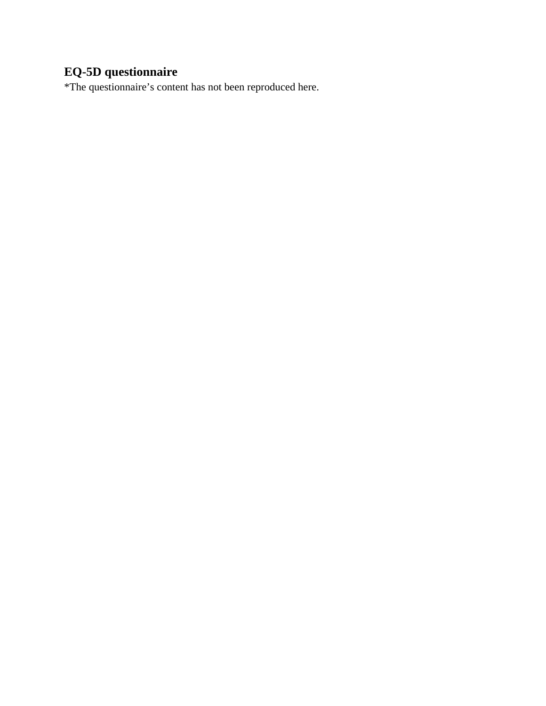# **EQ-5D questionnaire**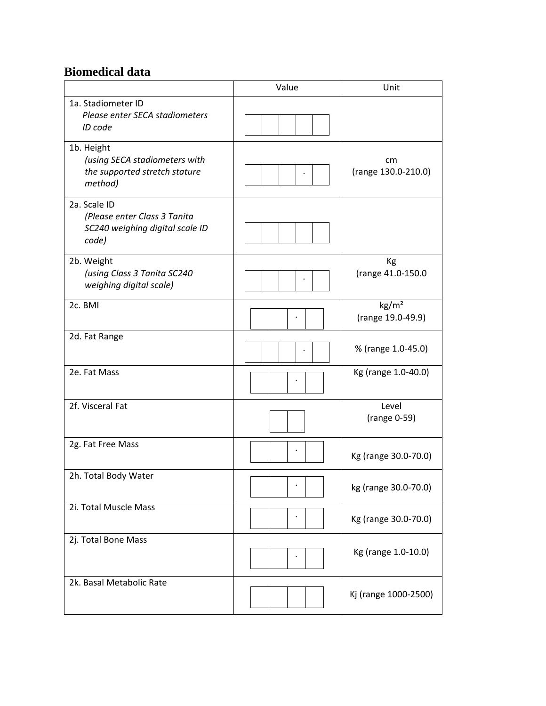## **Biomedical data**

|                                                                                          | Value | Unit                                 |
|------------------------------------------------------------------------------------------|-------|--------------------------------------|
| 1a. Stadiometer ID<br>Please enter SECA stadiometers<br>ID code                          |       |                                      |
| 1b. Height<br>(using SECA stadiometers with<br>the supported stretch stature<br>method)  |       | cm<br>(range 130.0-210.0)            |
| 2a. Scale ID<br>(Please enter Class 3 Tanita<br>SC240 weighing digital scale ID<br>code) |       |                                      |
| 2b. Weight<br>(using Class 3 Tanita SC240<br>weighing digital scale)                     |       | Kg<br>(range 41.0-150.0              |
| 2c. BMI                                                                                  |       | $\text{kg/m}^2$<br>(range 19.0-49.9) |
| 2d. Fat Range                                                                            |       | % (range 1.0-45.0)                   |
| 2e. Fat Mass                                                                             |       | Kg (range 1.0-40.0)                  |
| 2f. Visceral Fat                                                                         |       | Level<br>(range 0-59)                |
| 2g. Fat Free Mass                                                                        |       | Kg (range 30.0-70.0)                 |
| 2h. Total Body Water                                                                     |       | kg (range 30.0-70.0)                 |
| 2i. Total Muscle Mass                                                                    |       | Kg (range 30.0-70.0)                 |
| 2j. Total Bone Mass                                                                      |       | Kg (range 1.0-10.0)                  |
| 2k. Basal Metabolic Rate                                                                 |       | Kj (range 1000-2500)                 |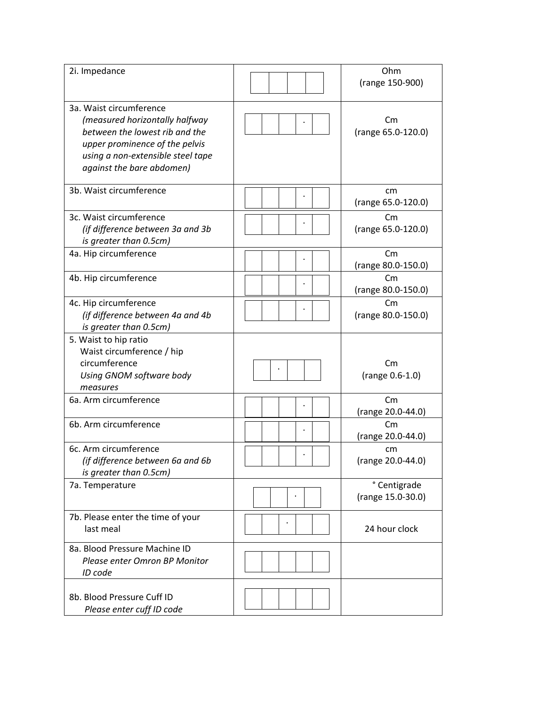| 2i. Impedance                                                                                                                                                                                   | Ohm<br>(range 150-900)               |
|-------------------------------------------------------------------------------------------------------------------------------------------------------------------------------------------------|--------------------------------------|
| 3a. Waist circumference<br>(measured horizontally halfway<br>between the lowest rib and the<br>upper prominence of the pelvis<br>using a non-extensible steel tape<br>against the bare abdomen) | Cm<br>(range 65.0-120.0)             |
| 3b. Waist circumference                                                                                                                                                                         | cm<br>(range 65.0-120.0)             |
| 3c. Waist circumference<br>(if difference between 3a and 3b<br>is greater than 0.5cm)                                                                                                           | Cm<br>(range 65.0-120.0)             |
| 4a. Hip circumference                                                                                                                                                                           | Cm<br>(range 80.0-150.0)             |
| 4b. Hip circumference                                                                                                                                                                           | $\mathsf{C}$<br>(range 80.0-150.0)   |
| 4c. Hip circumference<br>(if difference between 4a and 4b<br>is greater than 0.5cm)                                                                                                             | $\mathsf{C}$ m<br>(range 80.0-150.0) |
| 5. Waist to hip ratio<br>Waist circumference / hip<br>circumference<br>Using GNOM software body<br>measures                                                                                     | Cm<br>(range 0.6-1.0)                |
| 6a. Arm circumference                                                                                                                                                                           | $\mathsf{Cm}$<br>(range 20.0-44.0)   |
| 6b. Arm circumference                                                                                                                                                                           | $\mathsf{C}$ m<br>(range 20.0-44.0)  |
| 6c. Arm circumference<br>(if difference between 6a and 6b<br>is greater than 0.5cm)                                                                                                             | cm<br>(range 20.0-44.0)              |
| 7a. Temperature                                                                                                                                                                                 | ° Centigrade<br>(range 15.0-30.0)    |
| 7b. Please enter the time of your<br>last meal                                                                                                                                                  | 24 hour clock                        |
| 8a. Blood Pressure Machine ID<br>Please enter Omron BP Monitor<br>ID code                                                                                                                       |                                      |
| 8b. Blood Pressure Cuff ID<br>Please enter cuff ID code                                                                                                                                         |                                      |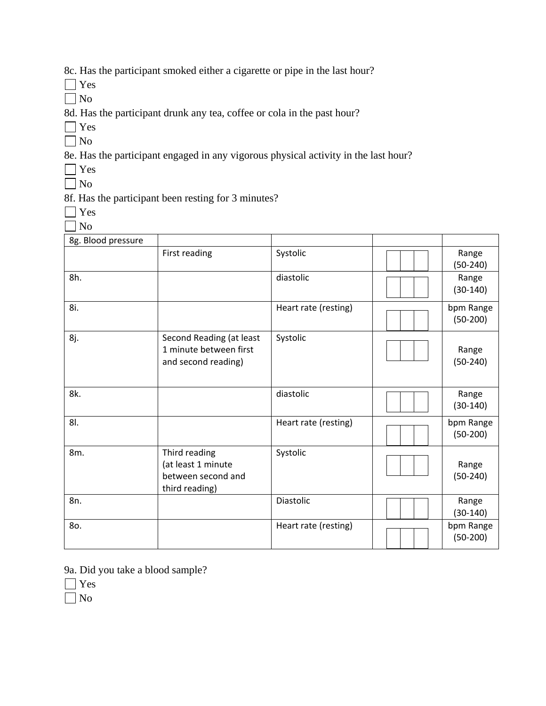8c. Has the participant smoked either a cigarette or pipe in the last hour?

Yes

 $\Box$  No

8d. Has the participant drunk any tea, coffee or cola in the past hour?

- Yes
- $\Box$  No

8e. Has the participant engaged in any vigorous physical activity in the last hour?

 $\Box$  Yes

No

8f. Has the participant been resting for 3 minutes?

- Yes
- $\Box$  No

| 8g. Blood pressure |                                                                             |                      |                         |
|--------------------|-----------------------------------------------------------------------------|----------------------|-------------------------|
|                    | First reading                                                               | Systolic             | Range<br>$(50-240)$     |
| 8h.                |                                                                             | diastolic            | Range<br>$(30-140)$     |
| 8i.                |                                                                             | Heart rate (resting) | bpm Range<br>$(50-200)$ |
| 8j.                | Second Reading (at least<br>1 minute between first<br>and second reading)   | Systolic             | Range<br>$(50-240)$     |
| 8k.                |                                                                             | diastolic            | Range<br>$(30-140)$     |
| 81.                |                                                                             | Heart rate (resting) | bpm Range<br>$(50-200)$ |
| 8m.                | Third reading<br>(at least 1 minute<br>between second and<br>third reading) | Systolic             | Range<br>$(50-240)$     |
| 8n.                |                                                                             | Diastolic            | Range<br>$(30-140)$     |
| 80.                |                                                                             | Heart rate (resting) | bpm Range<br>$(50-200)$ |

9a. Did you take a blood sample?

Yes

No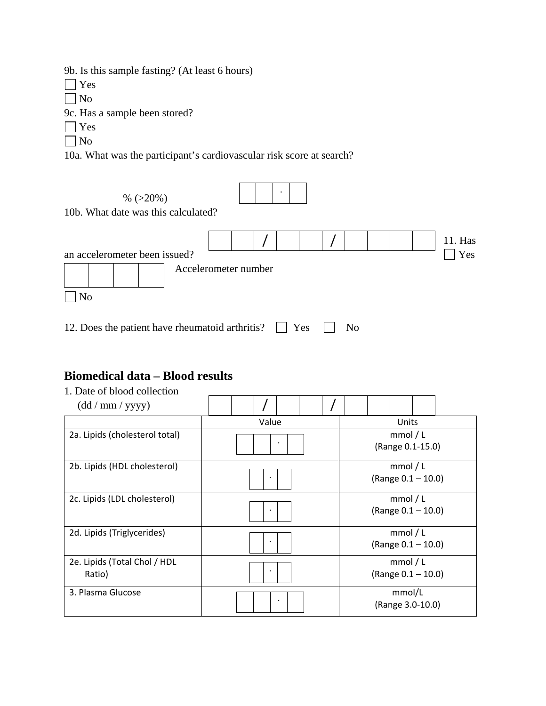9b. Is this sample fasting? (At least 6 hours)

Yes

 $\Box$  No

9c. Has a sample been stored?

Yes

No

10a. What was the participant's cardiovascular risk score at search?

%  $(>20\%)$ 10b. What date was this calculated? 11. Has an accelerometer been issued? Yes Accelerometer number No . / /

12. Does the patient have rheumatoid arthritis?  $\Box$  Yes  $\Box$  No

## **Biomedical data – Blood results**

| 1. Date of blood collection            |           |  |  |  |                              |  |                                 |  |  |
|----------------------------------------|-----------|--|--|--|------------------------------|--|---------------------------------|--|--|
| (dd/mm/yyyy)                           |           |  |  |  |                              |  |                                 |  |  |
|                                        | Value     |  |  |  | Units                        |  |                                 |  |  |
| 2a. Lipids (cholesterol total)         |           |  |  |  | mmol/L<br>(Range 0.1-15.0)   |  |                                 |  |  |
| 2b. Lipids (HDL cholesterol)           |           |  |  |  | mmol/L<br>(Range 0.1 - 10.0) |  |                                 |  |  |
| 2c. Lipids (LDL cholesterol)           |           |  |  |  |                              |  | mmol/L<br>(Range $0.1 - 10.0$ ) |  |  |
| 2d. Lipids (Triglycerides)             |           |  |  |  |                              |  | mmol/L<br>(Range 0.1 - 10.0)    |  |  |
| 2e. Lipids (Total Chol / HDL<br>Ratio) |           |  |  |  |                              |  | mmol/L<br>(Range 0.1 - 10.0)    |  |  |
| 3. Plasma Glucose                      | $\bullet$ |  |  |  |                              |  | mmol/L<br>(Range 3.0-10.0)      |  |  |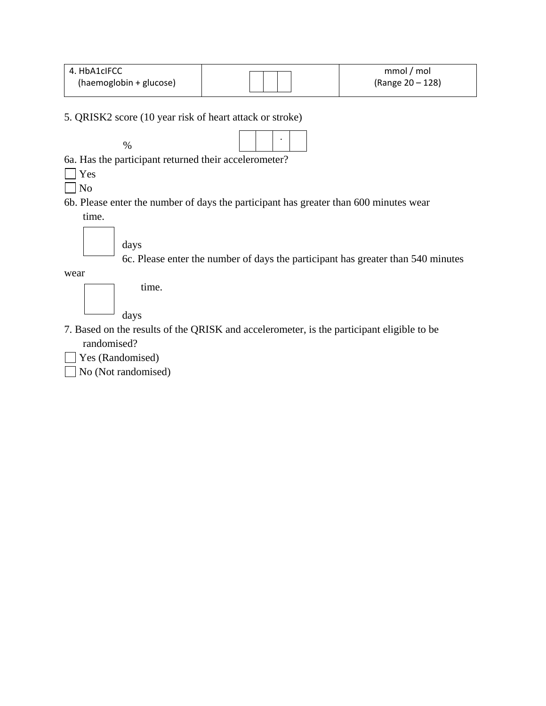| 4. HbA1cIFCC            | mmol / mol       |
|-------------------------|------------------|
| (haemoglobin + glucose) | (Range 20 – 128) |

5. QRISK2 score (10 year risk of heart attack or stroke)



6a. Has the participant returned their accelerometer?

Yes

 $\Box$  No

6b. Please enter the number of days the participant has greater than 600 minutes wear time.

days

6c. Please enter the number of days the participant has greater than 540 minutes

wear

time.

days

- 7. Based on the results of the QRISK and accelerometer, is the participant eligible to be randomised?
- Yes (Randomised)
- No (Not randomised)  $\blacksquare$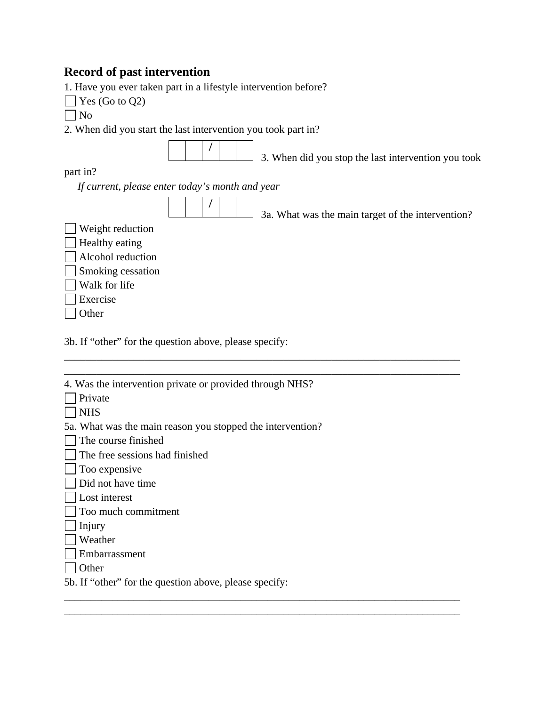# **Record of past intervention**

1. Have you ever taken part in a lifestyle intervention before?

| Yes (Go to $Q2$ )                                             |  |
|---------------------------------------------------------------|--|
| N <sub>0</sub>                                                |  |
| 2. When did you start the last intervention you took part in? |  |
| 3. When did you stop the last intervention you took           |  |
| part in?                                                      |  |
| If current, please enter today's month and year               |  |
| 3a. What was the main target of the intervention?             |  |
| Weight reduction                                              |  |
| Healthy eating                                                |  |
| Alcohol reduction                                             |  |
| Smoking cessation                                             |  |
| Walk for life                                                 |  |
| Exercise                                                      |  |
| Other                                                         |  |
|                                                               |  |
| 3b. If "other" for the question above, please specify:        |  |

| 4. Was the intervention private or provided through NHS?   |
|------------------------------------------------------------|
| Private                                                    |
| <b>NHS</b>                                                 |
| 5a. What was the main reason you stopped the intervention? |
| The course finished                                        |
| The free sessions had finished                             |
| Too expensive                                              |
| Did not have time                                          |
| Lost interest                                              |
| Too much commitment                                        |
| Injury                                                     |
| Weather                                                    |
| Embarrassment                                              |
| Other                                                      |
| 5b. If "other" for the question above, please specify:     |

\_\_\_\_\_\_\_\_\_\_\_\_\_\_\_\_\_\_\_\_\_\_\_\_\_\_\_\_\_\_\_\_\_\_\_\_\_\_\_\_\_\_\_\_\_\_\_\_\_\_\_\_\_\_\_\_\_\_\_\_\_\_\_\_\_\_\_\_\_\_\_\_\_\_ \_\_\_\_\_\_\_\_\_\_\_\_\_\_\_\_\_\_\_\_\_\_\_\_\_\_\_\_\_\_\_\_\_\_\_\_\_\_\_\_\_\_\_\_\_\_\_\_\_\_\_\_\_\_\_\_\_\_\_\_\_\_\_\_\_\_\_\_\_\_\_\_\_\_

\_\_\_\_\_\_\_\_\_\_\_\_\_\_\_\_\_\_\_\_\_\_\_\_\_\_\_\_\_\_\_\_\_\_\_\_\_\_\_\_\_\_\_\_\_\_\_\_\_\_\_\_\_\_\_\_\_\_\_\_\_\_\_\_\_\_\_\_\_\_\_\_\_\_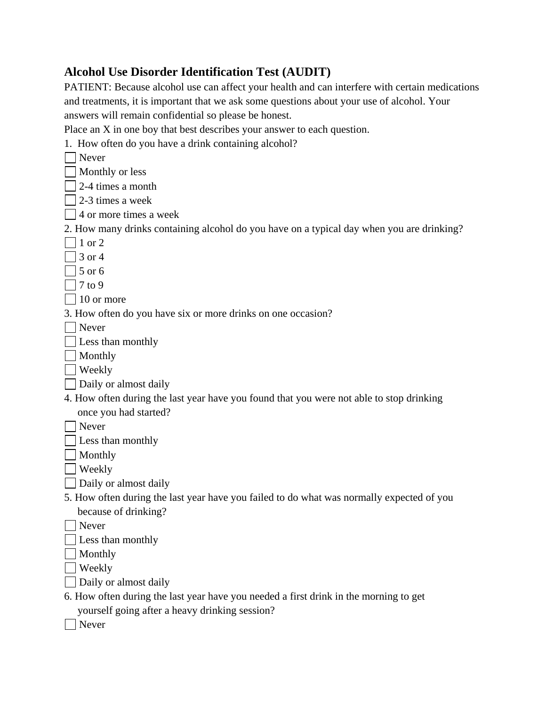## **Alcohol Use Disorder Identification Test (AUDIT)**

PATIENT: Because alcohol use can affect your health and can interfere with certain medications and treatments, it is important that we ask some questions about your use of alcohol. Your answers will remain confidential so please be honest. Place an X in one boy that best describes your answer to each question.

1. How often do you have a drink containing alcohol?

| Never                                                                                     |
|-------------------------------------------------------------------------------------------|
| Monthly or less                                                                           |
| 2-4 times a month                                                                         |
| 2-3 times a week                                                                          |
| 4 or more times a week                                                                    |
| 2. How many drinks containing alcohol do you have on a typical day when you are drinking? |
| $1$ or 2                                                                                  |
| 3 or 4                                                                                    |
| 5 or 6                                                                                    |
| $7$ to $9$                                                                                |
| $\Box$ 10 or more                                                                         |
| 3. How often do you have six or more drinks on one occasion?                              |
| $\blacksquare$ Never                                                                      |
| $\Box$ Less than monthly                                                                  |
| Monthly                                                                                   |
| Weekly                                                                                    |
| Daily or almost daily                                                                     |
| 4. How often during the last year have you found that you were not able to stop drinking  |
| once you had started?                                                                     |
| Never                                                                                     |
| $\perp$ Less than monthly                                                                 |
| Monthly                                                                                   |
| Weekly                                                                                    |
| Daily or almost daily                                                                     |
| 5. How often during the last year have you failed to do what was normally expected of you |
| because of drinking?                                                                      |
| Never                                                                                     |
| Less than monthly                                                                         |
| Monthly                                                                                   |
| Weekly                                                                                    |
| Daily or almost daily                                                                     |
| 6. How often during the last year have you needed a first drink in the morning to get     |
| yourself going after a heavy drinking session?                                            |
| Never                                                                                     |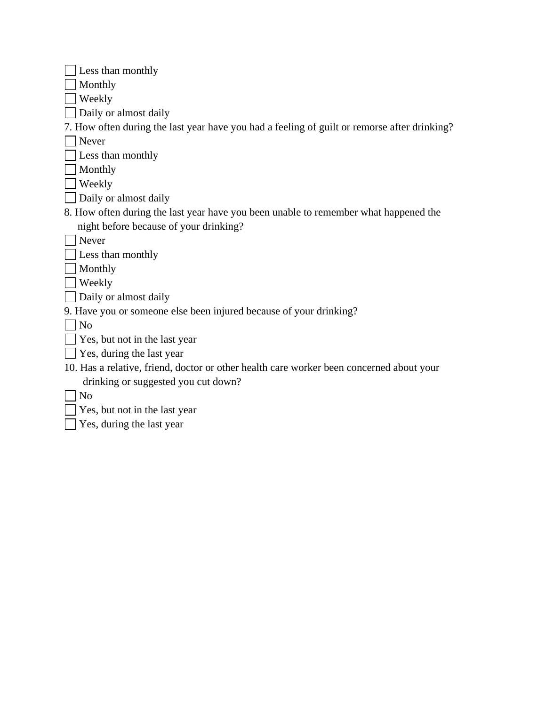| $\vert$ Less than monthly |
|---------------------------|
|---------------------------|

Monthly

Weekly

Daily or almost daily

7. How often during the last year have you had a feeling of guilt or remorse after drinking?

Never

 $\Box$  Less than monthly

**Monthly** 

**Weekly** 

- Daily or almost daily
- 8. How often during the last year have you been unable to remember what happened the night before because of your drinking?
- Never

 $\Box$  Less than monthly

Monthly

**■** Weekly

Daily or almost daily

9. Have you or someone else been injured because of your drinking?

 $\Box$  No

- $\Box$  Yes, but not in the last year
- $\Box$  Yes, during the last year
- 10. Has a relative, friend, doctor or other health care worker been concerned about your drinking or suggested you cut down?

 $\Box$  No

- $\Box$  Yes, but not in the last year
- $\Box$  Yes, during the last year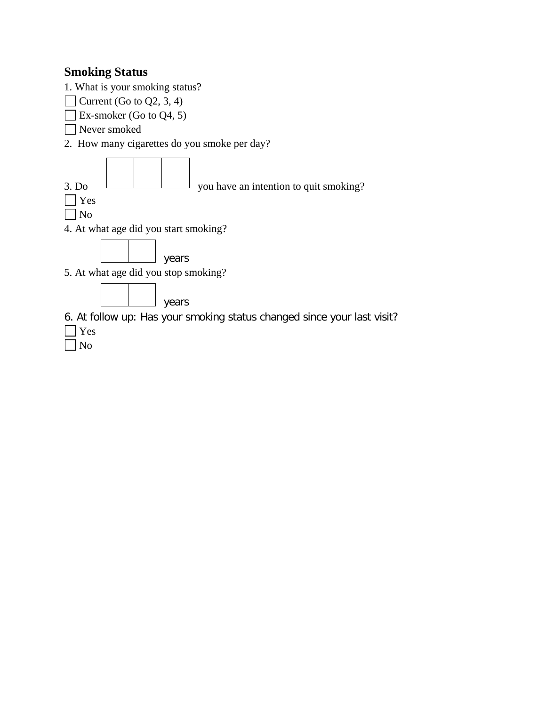### **Smoking Status**

1. What is your smoking status?

 $\Box$  Current (Go to Q2, 3, 4)

 $\Box$  Ex-smoker (Go to Q4, 5)

Never smoked

2. How many cigarettes do you smoke per day?



6. At follow up: Has your smoking status changed since your last visit?

- Yes
- No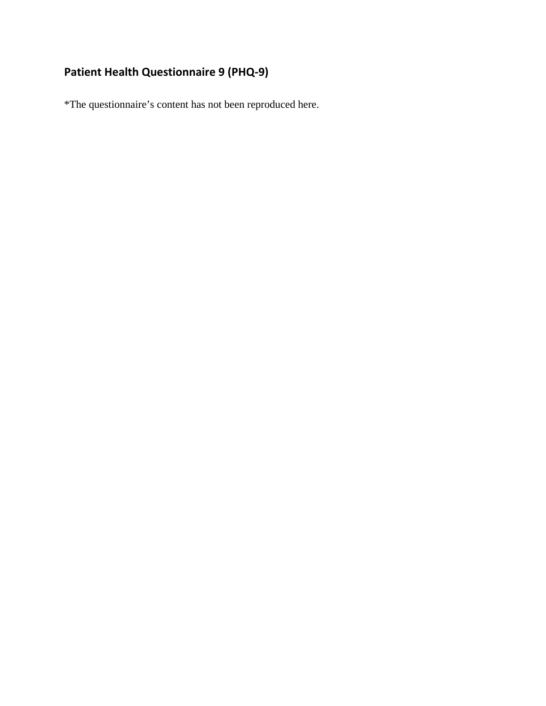# **Patient Health Questionnaire 9 (PHQ-9)**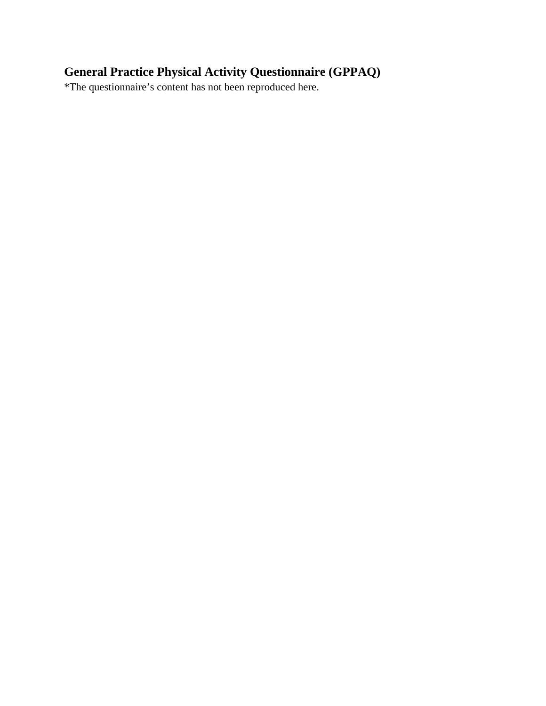# **General Practice Physical Activity Questionnaire (GPPAQ)**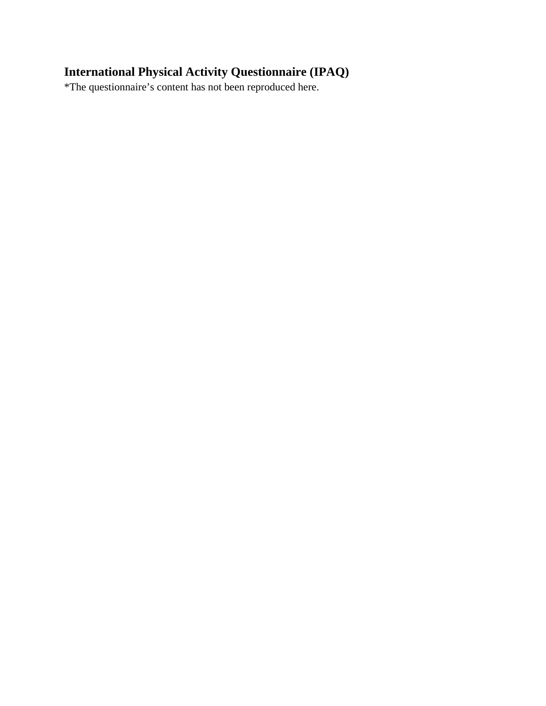# **International Physical Activity Questionnaire (IPAQ)**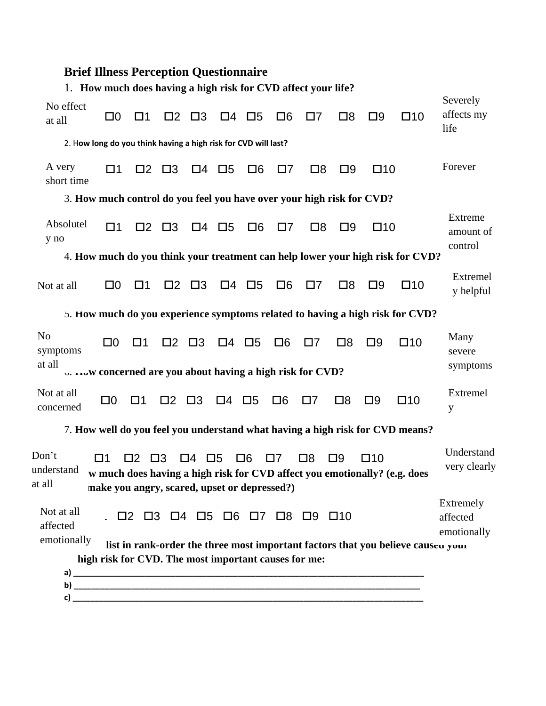# **Brief Illness Perception Questionnaire**

|                                                                       | 1. How much does having a high risk for CVD affect your life? |             |                                         |                               |                         |                   |          |                                                                                   |                                                                       |              |                                                                                  |                                      |
|-----------------------------------------------------------------------|---------------------------------------------------------------|-------------|-----------------------------------------|-------------------------------|-------------------------|-------------------|----------|-----------------------------------------------------------------------------------|-----------------------------------------------------------------------|--------------|----------------------------------------------------------------------------------|--------------------------------------|
| No effect<br>at all                                                   | $\square 0$                                                   | $\square$ 1 |                                         | $\square$ $\square$ $\square$ |                         | $\Box 4$ $\Box 5$ | $\Box 6$ | $\Box$ 7                                                                          | $\square$ 8                                                           | $\square$    | $\square$ 10                                                                     | Severely<br>affects my<br>life       |
| 2. How long do you think having a high risk for CVD will last?        |                                                               |             |                                         |                               |                         |                   |          |                                                                                   |                                                                       |              |                                                                                  |                                      |
| A very<br>short time                                                  | $\square$ 1                                                   |             | $\square$ $\square$ $\square$ $\square$ |                               | $\square 4$ $\square 5$ | $\Box 6$          | $\Box$ 7 | $\square$ 8                                                                       | $\square$                                                             | $\square$ 10 |                                                                                  | Forever                              |
|                                                                       |                                                               |             |                                         |                               |                         |                   |          |                                                                                   | 3. How much control do you feel you have over your high risk for CVD? |              |                                                                                  |                                      |
| Absolutel<br>y no                                                     | $\square$ 1                                                   |             | $\square$ $\square$ $\square$           |                               | $\Box 4$ $\Box 5$       | $\Box 6$          | $\Box$ 7 | Ω8                                                                                | $\square$                                                             | $\square$ 10 |                                                                                  | Extreme<br>amount of<br>control      |
|                                                                       |                                                               |             |                                         |                               |                         |                   |          |                                                                                   |                                                                       |              | 4. How much do you think your treatment can help lower your high risk for CVD?   |                                      |
| Not at all                                                            | $\square 0$                                                   | $\square$ 1 |                                         | $\square$ $\square$ $\square$ | □4 □5                   |                   | $\Box 6$ | $\square$ 7                                                                       | $\square$ 8                                                           | $\square$    | $\square$ 10                                                                     | Extremel<br>y helpful                |
|                                                                       |                                                               |             |                                         |                               |                         |                   |          |                                                                                   |                                                                       |              | 5. How much do you experience symptoms related to having a high risk for CVD?    |                                      |
| N <sub>0</sub><br>symptoms                                            | $\square 0$                                                   | □1          | $\square$ $\square$ $\square$           |                               | $\square 4$ $\square 5$ |                   | $\Box 6$ | 07                                                                                | $\square$ 8                                                           | $\square$    | $\square$ 10                                                                     | Many<br>severe                       |
| at all<br>U. LOW CONCEPTIED are you about having a high risk for CVD? |                                                               |             |                                         |                               |                         |                   |          |                                                                                   |                                                                       |              |                                                                                  | symptoms                             |
| Not at all<br>concerned                                               | $\square 0$                                                   | $\square$ 1 | $\square$ $\square$ $\square$           |                               | □4 □5                   |                   | $\Box 6$ | $\Box$ 7                                                                          | $\square$ 8                                                           | $\square$    | $\square$ 10                                                                     | Extremel<br>y                        |
|                                                                       |                                                               |             |                                         |                               |                         |                   |          |                                                                                   |                                                                       |              | 7. How well do you feel you understand what having a high risk for CVD means?    |                                      |
| Don't<br>understand<br>at all                                         | $\square$ 1<br>make you angry, scared, upset or depressed?)   | $\Box$ 2    | $\square$ 3                             | $\Box 4$ $\Box 5$             |                         | $\Box 6$          | $\Box$ 7 | $\square$ 8                                                                       | $\square$                                                             | $\square$ 10 | w much does having a high risk for CVD affect you emotionally? (e.g. does        | Understand<br>very clearly           |
| Not at all<br>affected<br>emotionally                                 |                                                               |             |                                         |                               |                         |                   |          | $\Box$ 2 $\Box$ 3 $\Box$ 4 $\Box$ 5 $\Box$ 6 $\Box$ 7 $\Box$ 8 $\Box$ 9 $\Box$ 10 |                                                                       |              | list in rank-order the three most important factors that you believe causeu your | Extremely<br>affected<br>emotionally |
|                                                                       | high risk for CVD. The most important causes for me:          |             |                                         |                               |                         |                   |          |                                                                                   |                                                                       |              |                                                                                  |                                      |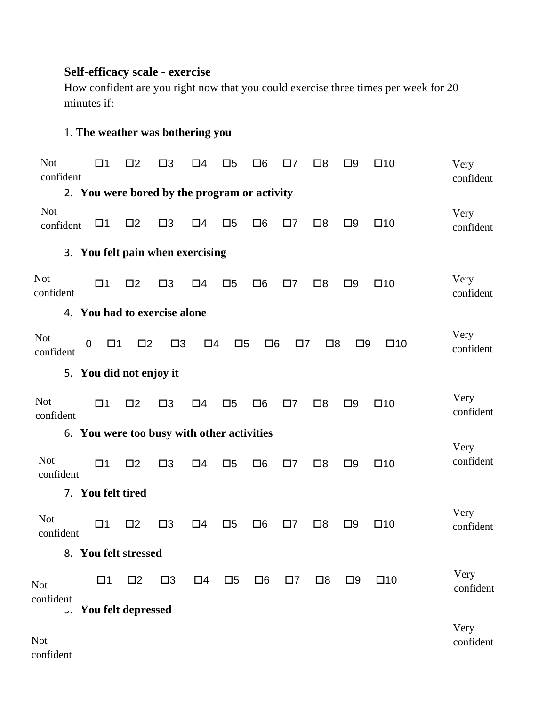## **Self-efficacy scale - exercise**

How confident are you right now that you could exercise three times per week for 20 minutes if:

## 1. **The weather was bothering you**

| <b>Not</b><br>confident |                 | $\square$ 1                | $\square$               | $\square$ 3                                  | $\square 4$ | $\square 5$ | $\square 6$ | $\square 7$ | $\square$   | $\square$ | $\square$ 10 | Very<br>confident |
|-------------------------|-----------------|----------------------------|-------------------------|----------------------------------------------|-------------|-------------|-------------|-------------|-------------|-----------|--------------|-------------------|
|                         |                 |                            |                         | 2. You were bored by the program or activity |             |             |             |             |             |           |              |                   |
| <b>Not</b><br>confident |                 | $\square$ 1                | $\square$               | $\square$ 3                                  | $\square 4$ | $\square 5$ | $\Box 6$    | $\square$ 7 | $\square$   | $\square$ | $\square$ 10 | Very<br>confident |
|                         |                 |                            |                         | 3. You felt pain when exercising             |             |             |             |             |             |           |              |                   |
| <b>Not</b><br>confident |                 | $\square$ 1                | $\square$               | $\square$ 3                                  | $\square 4$ | $\square 5$ | $\Box 6$    | $\square$ 7 | $\square$   | $\square$ | $\square$ 10 | Very<br>confident |
|                         |                 |                            |                         | 4. You had to exercise alone                 |             |             |             |             |             |           |              |                   |
| <b>Not</b><br>confident |                 | $\mathbf 0$<br>$\square$ 1 | $\square$               | $\square$ 3                                  | $\Box 4$    | $\square 5$ | $\Box 6$    | $\Box$ 7    | $\square$   | $\square$ | $\square$ 10 | Very<br>confident |
|                         |                 |                            | 5. You did not enjoy it |                                              |             |             |             |             |             |           |              |                   |
| <b>Not</b><br>confident |                 | $\square$ 1                | $\square$               | $\square$ 3                                  | $\square 4$ | $\square 5$ | $\Box 6$    | $\square$ 7 | $\square$   | $\square$ | $\square$ 10 | Very<br>confident |
|                         |                 |                            |                         | 6. You were too busy with other activities   |             |             |             |             |             |           |              |                   |
| <b>Not</b><br>confident |                 | $\square$ 1                | $\square$               | $\square$ 3                                  | $\square 4$ | $\square 5$ | $\Box 6$    | $\square$ 7 | $\square$   | $\square$ | $\square$ 10 | Very<br>confident |
|                         |                 | 7. You felt tired          |                         |                                              |             |             |             |             |             |           |              |                   |
| <b>Not</b><br>confident |                 | $\square$ 1                | $\square$               | $\square$ 3                                  | $\square 4$ | $\square 5$ | $\Box 6$    | $\square$ 7 | $\square$   | $\square$ | $\square$ 10 | Very<br>confident |
|                         |                 |                            | 8. You felt stressed    |                                              |             |             |             |             |             |           |              |                   |
| <b>Not</b>              |                 | $\square$ 1                | $\square$               | $\square$ 3                                  | $\Box 4$    | $\square$   | $\square 6$ | $\square$ 7 | $\square$ 8 | $\square$ | $\square$ 10 | Very<br>confident |
| confident               | $\mathcal{L}$ . |                            | You felt depressed      |                                              |             |             |             |             |             |           |              |                   |
| <b>Not</b>              |                 |                            |                         |                                              |             |             |             |             |             |           |              | Very<br>confident |

confident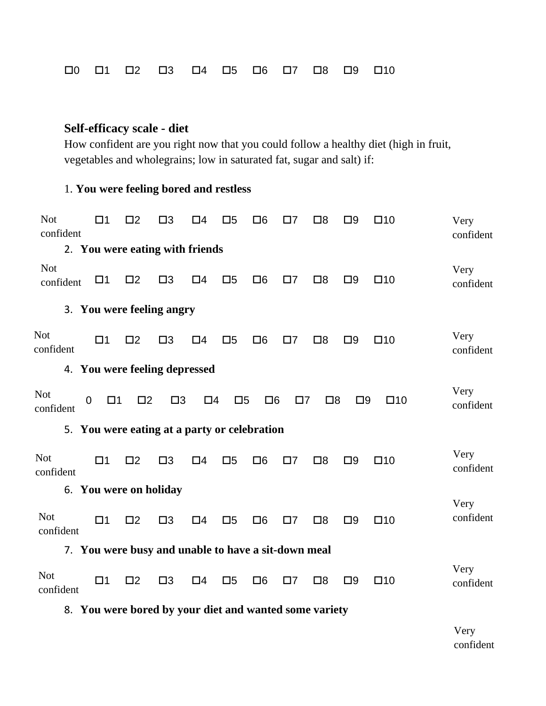$\Box$ 0  $\Box$ 1  $\Box$ 2  $\Box$ 3  $\Box$ 4  $\Box$ 5  $\Box$ 6  $\Box$ 7  $\Box$ 8  $\Box$ 9  $\Box$ 10

### **Self-efficacy scale - diet**

How confident are you right now that you could follow a healthy diet (high in fruit, vegetables and wholegrains; low in saturated fat, sugar and salt) if:

### 1. **You were feeling bored and restless**

| <b>Not</b><br>confident | Π1                         | $\square$                                           | $\square$ 3 | $\Box 4$    | $\square 5$ | $\square 6$ | $\square$ 7 | $\square$ 8 | $\square$ | $\square$ 10 | Very<br>confident |
|-------------------------|----------------------------|-----------------------------------------------------|-------------|-------------|-------------|-------------|-------------|-------------|-----------|--------------|-------------------|
|                         |                            | 2. You were eating with friends                     |             |             |             |             |             |             |           |              |                   |
| <b>Not</b><br>confident | $\square$ 1                | $\square$                                           | $\square$ 3 | $\Box 4$    | $\square 5$ | $\Box 6$    | $\square$ 7 | $\square$   | $\square$ | $\square$ 10 | Very<br>confident |
|                         |                            | 3. You were feeling angry                           |             |             |             |             |             |             |           |              |                   |
| <b>Not</b><br>confident | $\square$ 1                | $\square$                                           | $\square$ 3 | $\square 4$ | $\square 5$ | $\Box 6$    | $\square$ 7 | $\square$   | $\square$ | $\square$ 10 | Very<br>confident |
|                         |                            | 4. You were feeling depressed                       |             |             |             |             |             |             |           |              |                   |
| <b>Not</b><br>confident | $\mathbf 0$<br>$\square$ 1 | $\square$                                           | $\square$ 3 | $\square 4$ | $\square 5$ | $\Box 6$    | $\square$ 7 | $\square$   | $\square$ | $\square$ 10 | Very<br>confident |
|                         |                            | 5. You were eating at a party or celebration        |             |             |             |             |             |             |           |              |                   |
| <b>Not</b><br>confident | $\square$ 1                | $\square$                                           | $\square$ 3 | $\Box 4$    | $\square 5$ | $\Box 6$    | $\square$ 7 | $\square$   | $\square$ | $\square$ 10 | Very<br>confident |
|                         |                            | 6. You were on holiday                              |             |             |             |             |             |             |           |              |                   |
| <b>Not</b><br>confident | $\square$ 1                | $\square$                                           | $\square$ 3 | $\square$ 4 | $\square 5$ | $\square 6$ | $\square$ 7 | $\square$   | $\square$ | $\square$ 10 | Very<br>confident |
|                         |                            | 7. You were busy and unable to have a sit-down meal |             |             |             |             |             |             |           |              |                   |
| <b>Not</b><br>confident | $\square$ 1                | $\square$                                           | $\square$ 3 | $\Box 4$    | $\square 5$ | $\Box 6$    | $\square$ 7 | $\square$   | $\square$ | $\square$ 10 | Very<br>confident |

8. **You were bored by your diet and wanted some variety**

Very confident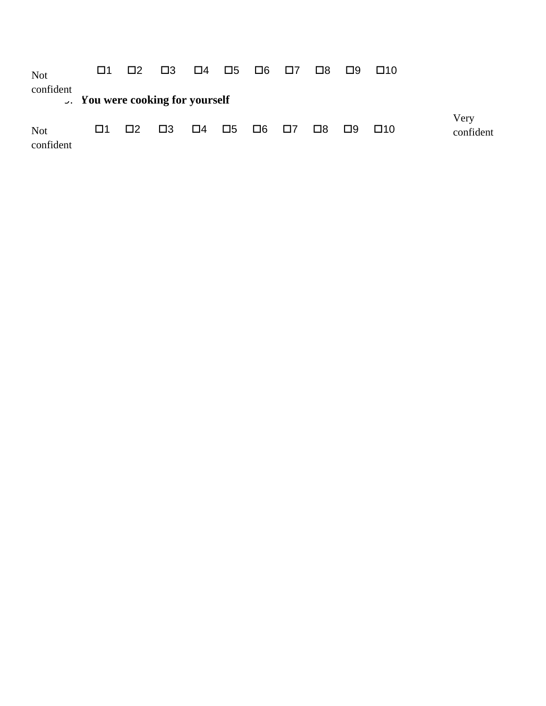| <b>Not</b>              | $\Box$ 1                                |          | $\square$ 2 $\square$ 3 | $\Box 4$ $\Box 5$ $\Box 6$ $\Box 7$ |  |                         |          | $\square$ 8 $\square$ 9 | $\Box$ 10 |                   |
|-------------------------|-----------------------------------------|----------|-------------------------|-------------------------------------|--|-------------------------|----------|-------------------------|-----------|-------------------|
| confident               | <b>J.</b> You were cooking for yourself |          |                         |                                     |  |                         |          |                         |           |                   |
| <b>Not</b><br>confident | l 11                                    | $\Box$ 2 | $\square$ 3             | 口4 口5                               |  | $\square 6$ $\square 7$ | $\Box$ 8 | $\Box$ 9                | $\Box$ 10 | Very<br>confident |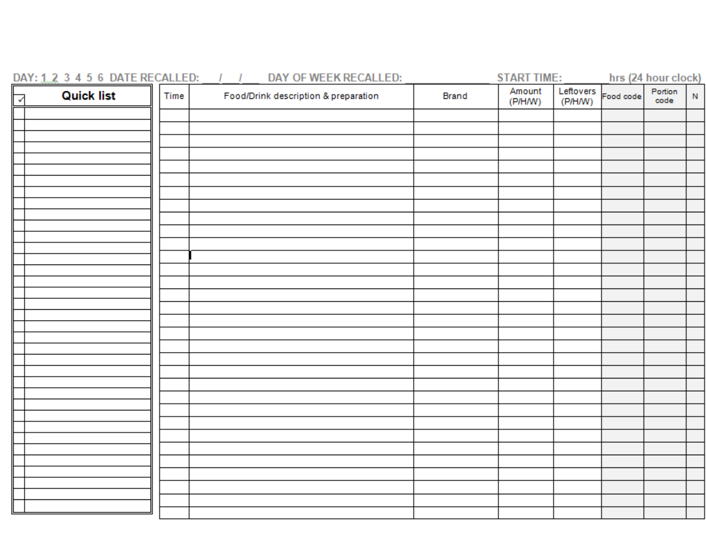| DAY: 1.2 3 4 5 6 DATE RECALLED: |      | DAY OF WEEK RECALLED:<br>$\mathcal{L}$ |       | <b>START TIME:</b> |         |                        | hrs (24 hour clock) |           |
|---------------------------------|------|----------------------------------------|-------|--------------------|---------|------------------------|---------------------|-----------|
| <b>Quick list</b><br>Ⅳ          | Time | Food/Drink description & preparation   | Brand | Amount<br>(P/H/W)  | (P/H/W) | Leftovers<br>Food code | Portion<br>code     | ${\sf N}$ |
|                                 |      |                                        |       |                    |         |                        |                     |           |
|                                 |      |                                        |       |                    |         |                        |                     |           |
|                                 |      |                                        |       |                    |         |                        |                     |           |
|                                 |      |                                        |       |                    |         |                        |                     |           |
|                                 |      |                                        |       |                    |         |                        |                     |           |
|                                 |      |                                        |       |                    |         |                        |                     |           |
|                                 |      |                                        |       |                    |         |                        |                     |           |
|                                 |      |                                        |       |                    |         |                        |                     |           |
|                                 |      |                                        |       |                    |         |                        |                     |           |
|                                 |      |                                        |       |                    |         |                        |                     |           |
|                                 |      |                                        |       |                    |         |                        |                     |           |
|                                 |      |                                        |       |                    |         |                        |                     |           |
|                                 |      |                                        |       |                    |         |                        |                     |           |
|                                 |      |                                        |       |                    |         |                        |                     |           |
|                                 |      |                                        |       |                    |         |                        |                     |           |
|                                 |      |                                        |       |                    |         |                        |                     |           |
|                                 |      |                                        |       |                    |         |                        |                     |           |
|                                 |      |                                        |       |                    |         |                        |                     |           |
|                                 |      |                                        |       |                    |         |                        |                     |           |
|                                 |      |                                        |       |                    |         |                        |                     |           |
|                                 |      |                                        |       |                    |         |                        |                     |           |
|                                 |      |                                        |       |                    |         |                        |                     |           |
|                                 |      |                                        |       |                    |         |                        |                     |           |
|                                 |      |                                        |       |                    |         |                        |                     |           |
|                                 |      |                                        |       |                    |         |                        |                     |           |
|                                 |      |                                        |       |                    |         |                        |                     |           |
|                                 |      |                                        |       |                    |         |                        |                     |           |
|                                 |      |                                        |       |                    |         |                        |                     |           |
|                                 |      |                                        |       |                    |         |                        |                     |           |
|                                 |      |                                        |       |                    |         |                        |                     |           |
|                                 |      |                                        |       |                    |         |                        |                     |           |
|                                 |      |                                        |       |                    |         |                        |                     |           |
|                                 |      |                                        |       |                    |         |                        |                     |           |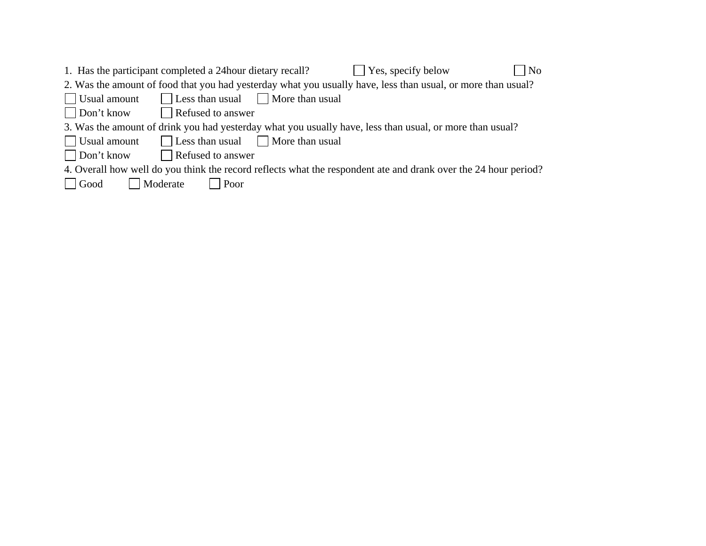| 1. Has the participant completed a 24 hour dietary recall?<br>$\Box$ Yes, specify below<br>$ $ No               |
|-----------------------------------------------------------------------------------------------------------------|
| 2. Was the amount of food that you had yesterday what you usually have, less than usual, or more than usual?    |
| Less than usual More than usual<br>$\vert$ Usual amount                                                         |
| $\Box$ Don't know<br>Refused to answer                                                                          |
| 3. Was the amount of drink you had yesterday what you usually have, less than usual, or more than usual?        |
| Usual amount<br>Less than usual More than usual                                                                 |
| $\Box$ Don't know<br>Refused to answer                                                                          |
| 4. Overall how well do you think the record reflects what the respondent ate and drank over the 24 hour period? |
| Moderate<br>  Good<br>Poor                                                                                      |
|                                                                                                                 |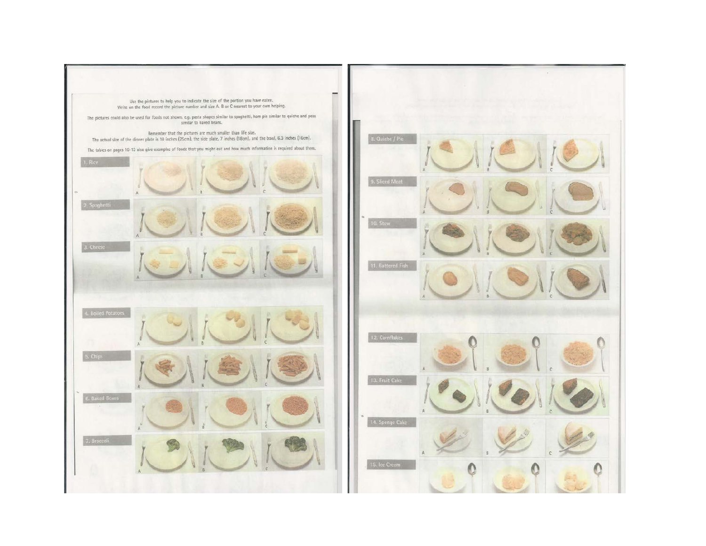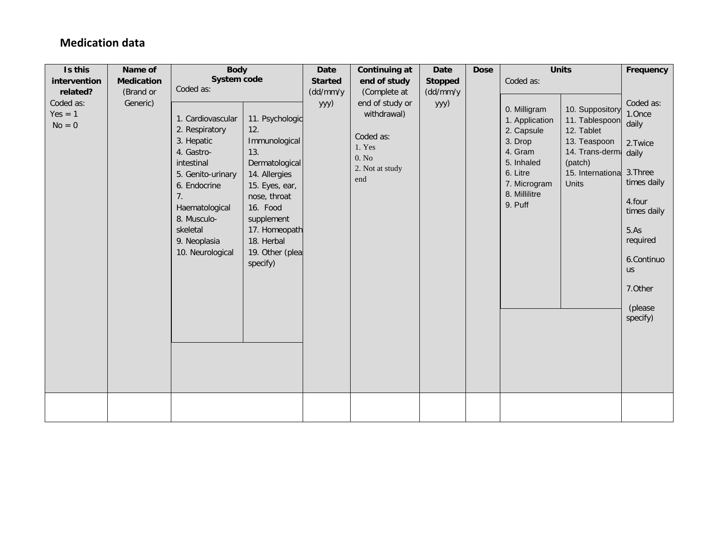## **Medication data**

| Is this                            | Name of           | <b>Body</b>                                                                                                                                                                                                                                                                                                              |                                                                                                          | <b>Date</b>    | Continuing at                                                                            | <b>Date</b> | <b>Dose</b> |                                                                                                                                          | <b>Units</b>                                                                                                                     | Frequency                                                                                                                                                                     |
|------------------------------------|-------------------|--------------------------------------------------------------------------------------------------------------------------------------------------------------------------------------------------------------------------------------------------------------------------------------------------------------------------|----------------------------------------------------------------------------------------------------------|----------------|------------------------------------------------------------------------------------------|-------------|-------------|------------------------------------------------------------------------------------------------------------------------------------------|----------------------------------------------------------------------------------------------------------------------------------|-------------------------------------------------------------------------------------------------------------------------------------------------------------------------------|
| intervention                       | <b>Medication</b> | System code                                                                                                                                                                                                                                                                                                              |                                                                                                          | <b>Started</b> | end of study                                                                             | Stopped     |             | Coded as:                                                                                                                                |                                                                                                                                  |                                                                                                                                                                               |
| related?                           | (Brand or         | Coded as:                                                                                                                                                                                                                                                                                                                |                                                                                                          | (dd/mm/y       | (Complete at                                                                             | (dd/mm/y    |             |                                                                                                                                          |                                                                                                                                  |                                                                                                                                                                               |
| Coded as:<br>$Yes = 1$<br>$No = 0$ | Generic)          | 1. Cardiovascular<br>2. Respiratory<br>12.<br>3. Hepatic<br>13.<br>4. Gastro-<br>intestinal<br>5. Genito-urinary<br>14. Allergies<br>6. Endocrine<br>nose, throat<br>7 <sub>1</sub><br>16. Food<br>Haematological<br>8. Musculo-<br>supplement<br>skeletal<br>18. Herbal<br>9. Neoplasia<br>10. Neurological<br>specify) | 11. Psychologic<br>Immunological<br>Dermatological<br>15. Eyes, ear,<br>17. Homeopath<br>19. Other (plea | yyy)           | end of study or<br>withdrawal)<br>Coded as:<br>1. Yes<br>0. No<br>2. Not at study<br>end | yyy)        |             | 0. Milligram<br>1. Application<br>2. Capsule<br>3. Drop<br>4. Gram<br>5. Inhaled<br>6. Litre<br>7. Microgram<br>8. Millilitre<br>9. Puff | 10. Suppository<br>11. Tablespoon<br>12. Tablet<br>13. Teaspoon<br>14. Trans-dermi daily<br>(patch)<br>15. Internationa<br>Units | Coded as:<br>1.Once<br>daily<br>2. Twice<br>3. Three<br>times daily<br>4.four<br>times daily<br>5.As<br>required<br>6.Continuo<br><b>us</b><br>7.0ther<br>(please<br>specify) |
|                                    |                   |                                                                                                                                                                                                                                                                                                                          |                                                                                                          |                |                                                                                          |             |             |                                                                                                                                          |                                                                                                                                  |                                                                                                                                                                               |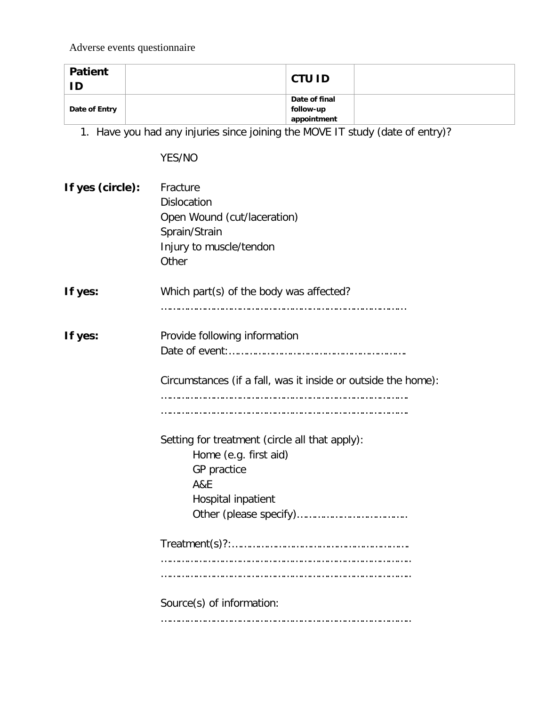Adverse events questionnaire

| <b>Patient</b><br>ID | <b>CTU ID</b> |  |
|----------------------|---------------|--|
|                      | Date of final |  |
| Date of Entry        | follow-up     |  |
|                      | appointment   |  |

1. Have you had any injuries since joining the MOVE IT study (date of entry)?

YES/NO

| If yes (circle): | Fracture<br><b>Dislocation</b><br>Open Wound (cut/laceration)<br>Sprain/Strain<br>Injury to muscle/tendon<br>Other             |
|------------------|--------------------------------------------------------------------------------------------------------------------------------|
| If yes:          | Which part(s) of the body was affected?                                                                                        |
| If yes:          | Provide following information<br>Circumstances (if a fall, was it inside or outside the home):                                 |
|                  | Setting for treatment (circle all that apply):<br>Home (e.g. first aid)<br>GP practice<br><b>A&amp;E</b><br>Hospital inpatient |
|                  |                                                                                                                                |
|                  | Source(s) of information:                                                                                                      |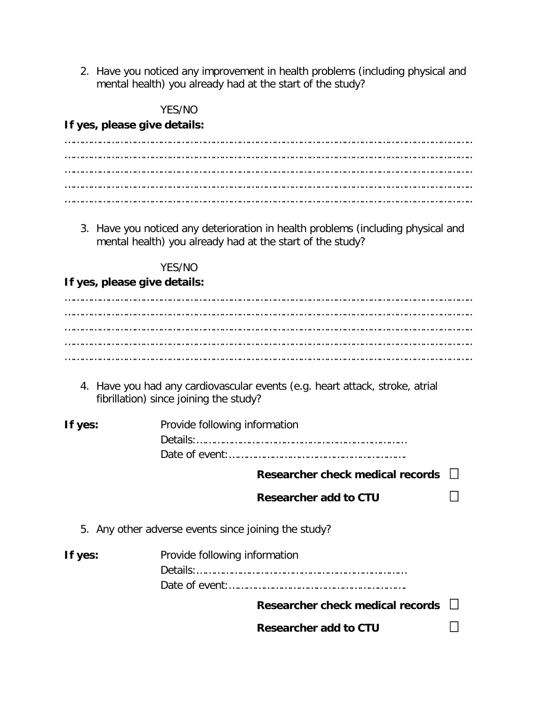2. Have you noticed any improvement in health problems (including physical and mental health) you already had at the start of the study?

YES/NO

**If yes, please give details:**

3. Have you noticed any deterioration in health problems (including physical and mental health) you already had at the start of the study?

YES/NO

### **If yes, please give details:**

………………………………………………………………………………………………………………………….. ………………………………………………………………………………………………………………………….. ………………………………………………………………………………………………………………………….. ………………………………………………………………………………………………………………………….. …………………………………………………………………………………………………………………………..

4. Have you had any cardiovascular events (e.g. heart attack, stroke, atrial fibrillation) since joining the study?

| If yes: | Provide following information |
|---------|-------------------------------|
|         |                               |
|         |                               |

**Researcher check medical records**

- **Researcher add to CTU**
- 5. Any other adverse events since joining the study?

| If yes: | Provide following information           |  |
|---------|-----------------------------------------|--|
|         |                                         |  |
|         |                                         |  |
|         | Researcher check medical records $\Box$ |  |
|         | <b>Researcher add to CTU</b>            |  |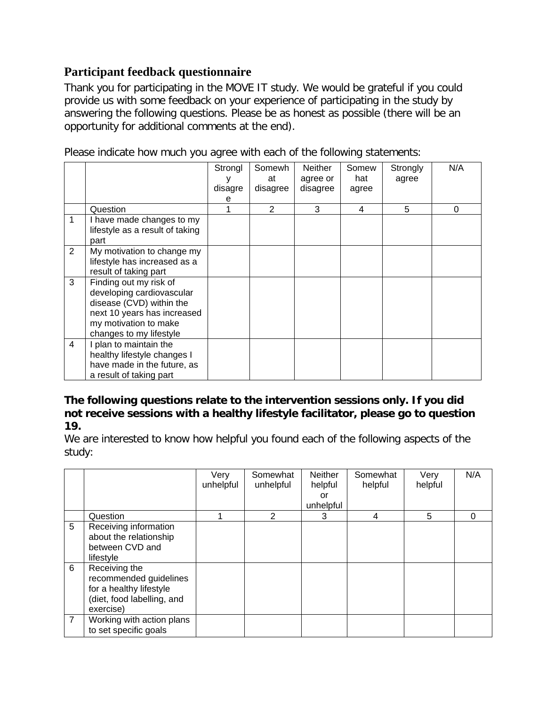## **Participant feedback questionnaire**

Thank you for participating in the MOVE IT study. We would be grateful if you could provide us with some feedback on your experience of participating in the study by answering the following questions. Please be as honest as possible (there will be an opportunity for additional comments at the end).

Please indicate how much you agree with each of the following statements:

|                |                                 | Strongl | Somewh   | <b>Neither</b> | Somew | Strongly | N/A |
|----------------|---------------------------------|---------|----------|----------------|-------|----------|-----|
|                |                                 |         | at       | agree or       | hat   | agree    |     |
|                |                                 | disagre | disagree | disagree       | agree |          |     |
|                |                                 | е       |          |                |       |          |     |
|                | Question                        |         | 2        | 3              | 4     | 5        | 0   |
| 1              | I have made changes to my       |         |          |                |       |          |     |
|                | lifestyle as a result of taking |         |          |                |       |          |     |
|                | part                            |         |          |                |       |          |     |
| $\overline{2}$ | My motivation to change my      |         |          |                |       |          |     |
|                | lifestyle has increased as a    |         |          |                |       |          |     |
|                | result of taking part           |         |          |                |       |          |     |
| 3              | Finding out my risk of          |         |          |                |       |          |     |
|                | developing cardiovascular       |         |          |                |       |          |     |
|                | disease (CVD) within the        |         |          |                |       |          |     |
|                | next 10 years has increased     |         |          |                |       |          |     |
|                | my motivation to make           |         |          |                |       |          |     |
|                | changes to my lifestyle         |         |          |                |       |          |     |
| 4              | I plan to maintain the          |         |          |                |       |          |     |
|                | healthy lifestyle changes I     |         |          |                |       |          |     |
|                | have made in the future, as     |         |          |                |       |          |     |
|                | a result of taking part         |         |          |                |       |          |     |

### **The following questions relate to the intervention sessions only. If you did not receive sessions with a healthy lifestyle facilitator, please go to question 19.**

We are interested to know how helpful you found each of the following aspects of the study:

|                |                                                                                                               | Very<br>unhelpful | Somewhat<br>unhelpful | <b>Neither</b><br>helpful<br>or<br>unhelpful | Somewhat<br>helpful | Very<br>helpful | N/A |
|----------------|---------------------------------------------------------------------------------------------------------------|-------------------|-----------------------|----------------------------------------------|---------------------|-----------------|-----|
|                | Question                                                                                                      |                   | 2                     | 3                                            | $\overline{4}$      | 5               | 0   |
| 5              | Receiving information<br>about the relationship<br>between CVD and<br>lifestyle                               |                   |                       |                                              |                     |                 |     |
| 6              | Receiving the<br>recommended guidelines<br>for a healthy lifestyle<br>(diet, food labelling, and<br>exercise) |                   |                       |                                              |                     |                 |     |
| $\overline{7}$ | Working with action plans<br>to set specific goals                                                            |                   |                       |                                              |                     |                 |     |